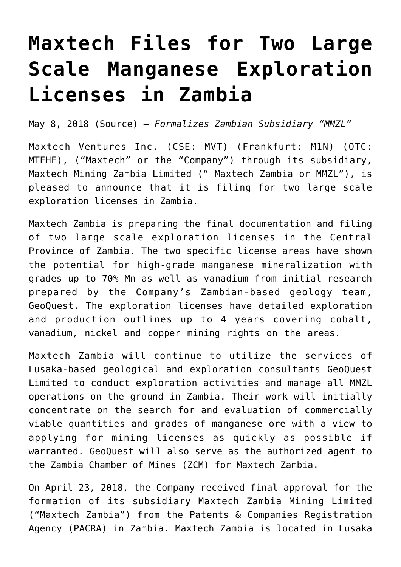## **[Maxtech Files for Two Large](https://investorintel.com/markets/technology-metals/technology-metals-news/maxtech-files-two-large-scale-manganese-exploration-licenses-zambia/) [Scale Manganese Exploration](https://investorintel.com/markets/technology-metals/technology-metals-news/maxtech-files-two-large-scale-manganese-exploration-licenses-zambia/) [Licenses in Zambia](https://investorintel.com/markets/technology-metals/technology-metals-news/maxtech-files-two-large-scale-manganese-exploration-licenses-zambia/)**

May 8, 2018 [\(Source\)](https://investorintel.com/iintel-members/maxtech-ventures-inc/) — *Formalizes Zambian Subsidiary "MMZL"*

Maxtech Ventures Inc. (CSE: MVT) (Frankfurt: M1N) (OTC: MTEHF), ("Maxtech" or the "Company") through its subsidiary, Maxtech Mining Zambia Limited (" Maxtech Zambia or MMZL"), is pleased to announce that it is filing for two large scale exploration licenses in Zambia.

Maxtech Zambia is preparing the final documentation and filing of two large scale exploration licenses in the Central Province of Zambia. The two specific license areas have shown the potential for high-grade manganese mineralization with grades up to 70% Mn as well as vanadium from initial research prepared by the Company's Zambian-based geology team, GeoQuest. The exploration licenses have detailed exploration and production outlines up to 4 years covering cobalt, vanadium, nickel and copper mining rights on the areas.

Maxtech Zambia will continue to utilize the services of Lusaka-based geological and exploration consultants GeoQuest Limited to conduct exploration activities and manage all MMZL operations on the ground in Zambia. Their work will initially concentrate on the search for and evaluation of commercially viable quantities and grades of manganese ore with a view to applying for mining licenses as quickly as possible if warranted. GeoQuest will also serve as the authorized agent to the Zambia Chamber of Mines (ZCM) for Maxtech Zambia.

On April 23, 2018, the Company received final approval for the formation of its subsidiary Maxtech Zambia Mining Limited ("Maxtech Zambia") from the Patents & Companies Registration Agency (PACRA) in Zambia. Maxtech Zambia is located in Lusaka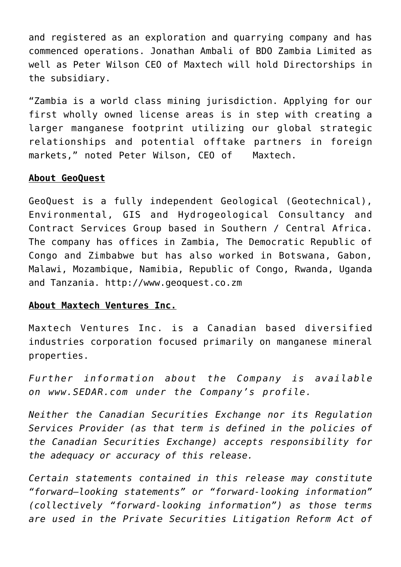and registered as an exploration and quarrying company and has commenced operations. Jonathan Ambali of BDO Zambia Limited as well as Peter Wilson CEO of Maxtech will hold Directorships in the subsidiary.

"Zambia is a world class mining jurisdiction. Applying for our first wholly owned license areas is in step with creating a larger manganese footprint utilizing our global strategic relationships and potential offtake partners in foreign markets," noted Peter Wilson, CEO of Maxtech.

## **About GeoQuest**

GeoQuest is a fully independent Geological (Geotechnical), Environmental, GIS and Hydrogeological Consultancy and Contract Services Group based in Southern / Central Africa. The company has offices in Zambia, The Democratic Republic of Congo and Zimbabwe but has also worked in Botswana, Gabon, Malawi, Mozambique, Namibia, Republic of Congo, Rwanda, Uganda and Tanzania. [http://www.geoquest.co.zm](http://www.geoquest.co.zm/)

## **About Maxtech Ventures Inc.**

Maxtech Ventures Inc. is a Canadian based diversified industries corporation focused primarily on manganese mineral properties.

*Further information about the Company is available on [www.SEDAR.com](http://www.sedar.com/) [u](http://www.sedar.com/)nder the Company's profile.*

*Neither the Canadian Securities Exchange nor its Regulation Services Provider (as that term is defined in the policies of the Canadian Securities Exchange) accepts responsibility for the adequacy or accuracy of this release.*

*Certain statements contained in this release may constitute "forward–looking statements" or "forward-looking information" (collectively "forward-looking information") as those terms are used in the Private Securities Litigation Reform Act of*